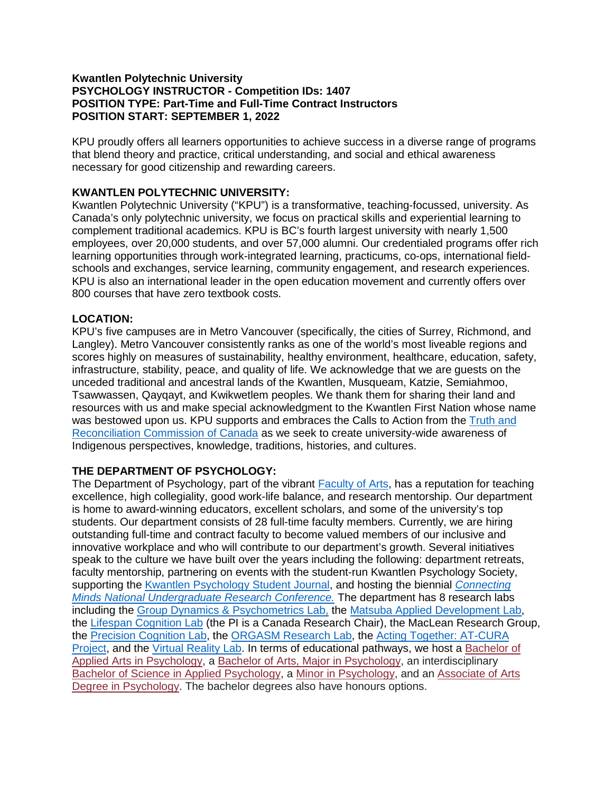## **Kwantlen Polytechnic University PSYCHOLOGY INSTRUCTOR - Competition IDs: 1407 POSITION TYPE: Part-Time and Full-Time Contract Instructors POSITION START: SEPTEMBER 1, 2022**

KPU proudly offers all learners opportunities to achieve success in a diverse range of programs that blend theory and practice, critical understanding, and social and ethical awareness necessary for good citizenship and rewarding careers.

# **KWANTLEN POLYTECHNIC UNIVERSITY:**

Kwantlen Polytechnic University ("KPU") is a transformative, teaching-focussed, university. As Canada's only polytechnic university, we focus on practical skills and experiential learning to complement traditional academics. KPU is BC's fourth largest university with nearly 1,500 employees, over 20,000 students, and over 57,000 alumni. Our credentialed programs offer rich learning opportunities through work-integrated learning, practicums, co-ops, international fieldschools and exchanges, service learning, community engagement, and research experiences. KPU is also an international leader in the open education movement and currently offers over 800 courses that have zero textbook costs.

## **LOCATION:**

KPU's five campuses are in Metro Vancouver (specifically, the cities of Surrey, Richmond, and Langley). Metro Vancouver consistently ranks as one of the world's most liveable regions and scores highly on measures of sustainability, healthy environment, healthcare, education, safety, infrastructure, stability, peace, and quality of life. We acknowledge that we are guests on the unceded traditional and ancestral lands of the Kwantlen, Musqueam, Katzie, Semiahmoo, Tsawwassen, Qayqayt, and Kwikwetlem peoples. We thank them for sharing their land and resources with us and make special acknowledgment to the Kwantlen First Nation whose name was bestowed upon us. KPU supports and embraces the Calls to Action from the Truth and [Reconciliation Commission of Canada](https://nctr.ca/about/history-of-the-trc/trc-website/) as we seek to create university-wide awareness of Indigenous perspectives, knowledge, traditions, histories, and cultures.

# **THE DEPARTMENT OF PSYCHOLOGY:**

The Department of Psychology, part of the vibrant [Faculty of Arts,](https://www.kpu.ca/arts) has a reputation for teaching excellence, high collegiality, good work-life balance, and research mentorship. Our department is home to award-winning educators, excellent scholars, and some of the university's top students. Our department consists of 28 full-time faculty members. Currently, we are hiring outstanding full-time and contract faculty to become valued members of our inclusive and innovative workplace and who will contribute to our department's growth. Several initiatives speak to the culture we have built over the years including the following: department retreats, faculty mentorship, partnering on events with the student-run Kwantlen Psychology Society, supporting the [Kwantlen Psychology Student Journal,](https://journals.kpu.ca/index.php/KPSJ) and hosting the biennial *[Connecting](http://www.connectingminds.wildapricot.org/resources/Documents/CM2018%20Program.FINAL.pdf)  [Minds National Undergraduate Research Conference.](http://www.connectingminds.wildapricot.org/resources/Documents/CM2018%20Program.FINAL.pdf)* The department has 8 research labs including the [Group Dynamics & Psychometrics Lab,](http://gdplab.ca/) the [Matsuba Applied Development Lab,](https://kylematsuba.wixsite.com/website) the [Lifespan Cognition Lab](https://www.lifespancognition.com/) (the PI is a Canada Research Chair), the MacLean Research Group, the [Precision Cognition Lab,](https://www.kpu.ca/beelab) the [ORGASM Research Lab,](https://www.orgasmresearchlab.com/) the [Acting Together: AT-CURA](https://www.kpu.ca/actingtogether)  [Project,](https://www.kpu.ca/actingtogether) and the [Virtual Reality Lab.](http://kpuvrlab.com/) In terms of educational pathways, we host a [Bachelor of](https://calendar.kpu.ca/programs-az/arts/psychology/psychology-baa/)  [Applied Arts in Psychology,](https://calendar.kpu.ca/programs-az/arts/psychology/psychology-baa/) a [Bachelor of Arts, Major in Psychology,](https://calendar.kpu.ca/programs-az/arts/psychology/psychology-ba/) an interdisciplinary [Bachelor of Science in Applied Psychology,](https://calendar.kpu.ca/programs-az/arts/psychology/psychology-applied-bs/) a [Minor in Psychology,](https://calendar.kpu.ca/programs-az/arts/psychology/psychology-minor/) and an [Associate of Arts](https://calendar.kpu.ca/programs-az/arts/psychology/psychology-aa/)  [Degree in Psychology.](https://calendar.kpu.ca/programs-az/arts/psychology/psychology-aa/) The bachelor degrees also have honours options.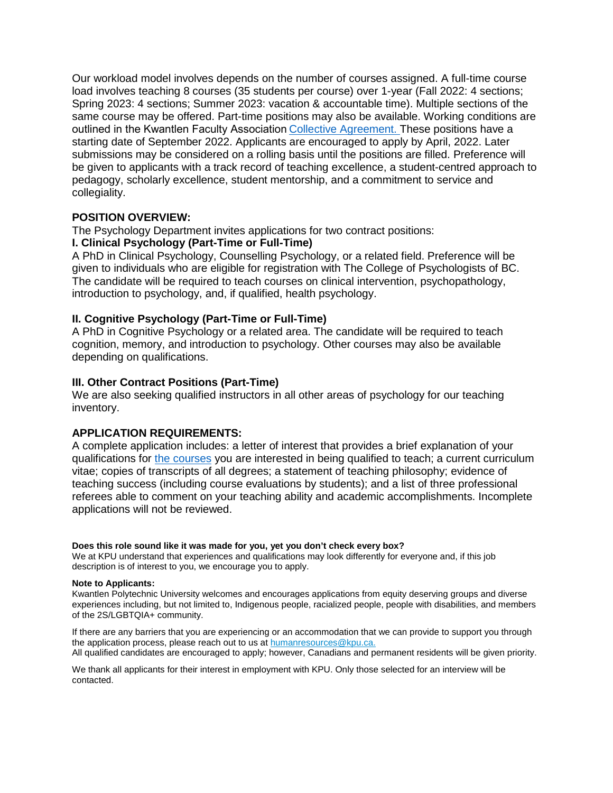Our workload model involves depends on the number of courses assigned. A full-time course load involves teaching 8 courses (35 students per course) over 1-year (Fall 2022: 4 sections; Spring 2023: 4 sections; Summer 2023: vacation & accountable time). Multiple sections of the same course may be offered. Part-time positions may also be available. Working conditions are outlined in the Kwantlen Faculty Association [Collective Agreement.](https://yourkfa.ca/collective-agreement/) These positions have a starting date of September 2022. Applicants are encouraged to apply by April, 2022. Later submissions may be considered on a rolling basis until the positions are filled. Preference will be given to applicants with a track record of teaching excellence, a student-centred approach to pedagogy, scholarly excellence, student mentorship, and a commitment to service and collegiality.

## **POSITION OVERVIEW:**

The Psychology Department invites applications for two contract positions:

## **I. Clinical Psychology (Part-Time or Full-Time)**

A PhD in Clinical Psychology, Counselling Psychology, or a related field. Preference will be given to individuals who are eligible for registration with The College of Psychologists of BC. The candidate will be required to teach courses on clinical intervention, psychopathology, introduction to psychology, and, if qualified, health psychology.

## **II. Cognitive Psychology (Part-Time or Full-Time)**

A PhD in Cognitive Psychology or a related area. The candidate will be required to teach cognition, memory, and introduction to psychology. Other courses may also be available depending on qualifications.

#### **III. Other Contract Positions (Part-Time)**

We are also seeking qualified instructors in all other areas of psychology for our teaching inventory.

#### **APPLICATION REQUIREMENTS:**

A complete application includes: a letter of interest that provides a brief explanation of your qualifications for [the courses](https://calendar.kpu.ca/courses-az/psyc/) you are interested in being qualified to teach; a current curriculum vitae; copies of transcripts of all degrees; a statement of teaching philosophy; evidence of teaching success (including course evaluations by students); and a list of three professional referees able to comment on your teaching ability and academic accomplishments. Incomplete applications will not be reviewed.

#### **Does this role sound like it was made for you, yet you don't check every box?**

We at KPU understand that experiences and qualifications may look differently for everyone and, if this job description is of interest to you, we encourage you to apply.

#### **Note to Applicants:**

Kwantlen Polytechnic University welcomes and encourages applications from equity deserving groups and diverse experiences including, but not limited to, Indigenous people, racialized people, people with disabilities, and members of the 2S/LGBTQIA+ community.

If there are any barriers that you are experiencing or an accommodation that we can provide to support you through the application process, please reach out to us at [humanresources@kpu.ca.](mailto:humanresources@kpu.ca) All qualified candidates are encouraged to apply; however, Canadians and permanent residents will be given priority.

We thank all applicants for their interest in employment with KPU. Only those selected for an interview will be contacted.